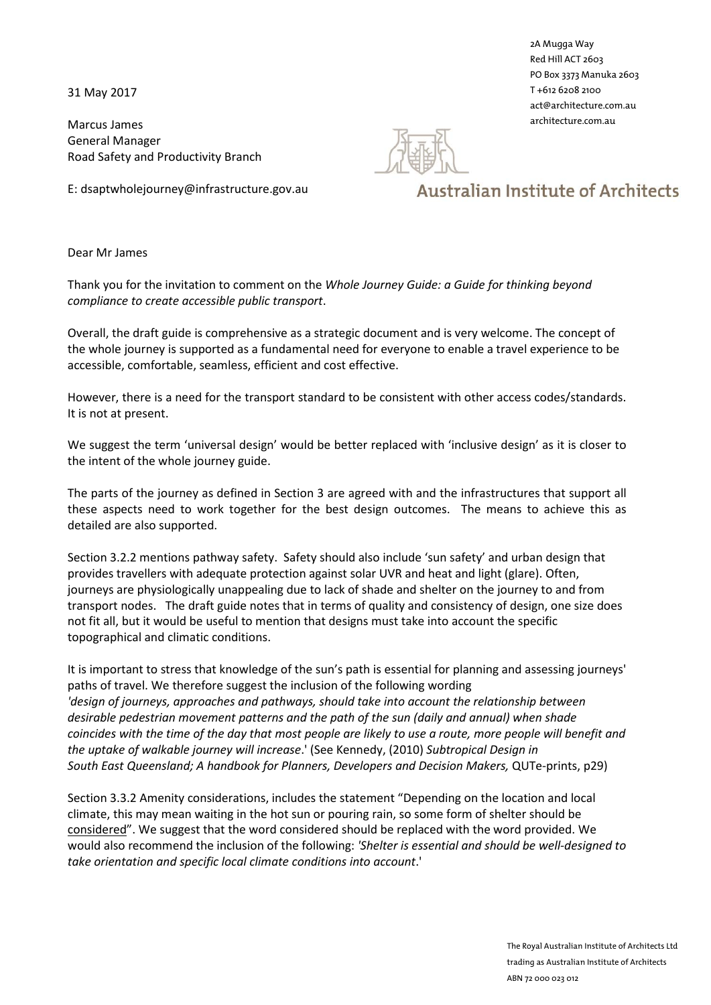31 May 2017

Marcus James General Manager Road Safety and Productivity Branch

E: dsaptwholejourney@infrastructure.gov.au



2A Mugga Way Red Hill ACT 2603 PO Box 3373 Manuka 2603 T +612 6208 2100 act@architecture.com.au architecture.com.au

**Australian Institute of Architects** 

## Dear Mr James

Thank you for the invitation to comment on the *Whole Journey Guide: a Guide for thinking beyond compliance to create accessible public transport*.

Overall, the draft guide is comprehensive as a strategic document and is very welcome. The concept of the whole journey is supported as a fundamental need for everyone to enable a travel experience to be accessible, comfortable, seamless, efficient and cost effective.

However, there is a need for the transport standard to be consistent with other access codes/standards. It is not at present.

We suggest the term 'universal design' would be better replaced with 'inclusive design' as it is closer to the intent of the whole journey guide.

The parts of the journey as defined in Section 3 are agreed with and the infrastructures that support all these aspects need to work together for the best design outcomes. The means to achieve this as detailed are also supported.

Section 3.2.2 mentions pathway safety. Safety should also include 'sun safety' and urban design that provides travellers with adequate protection against solar UVR and heat and light (glare). Often, journeys are physiologically unappealing due to lack of shade and shelter on the journey to and from transport nodes. The draft guide notes that in terms of quality and consistency of design, one size does not fit all, but it would be useful to mention that designs must take into account the specific topographical and climatic conditions.

It is important to stress that knowledge of the sun's path is essential for planning and assessing journeys' paths of travel. We therefore suggest the inclusion of the following wording *'design of journeys, approaches and pathways, should take into account the relationship between desirable pedestrian movement patterns and the path of the sun (daily and annual) when shade coincides with the time of the day that most people are likely to use a route, more people will benefit and the uptake of walkable journey will increase*.' (See Kennedy, (2010) *Subtropical Design in South East Queensland; A handbook for Planners, Developers and Decision Makers,* QUTe-prints, p29)

Section 3.3.2 Amenity considerations, includes the statement "Depending on the location and local climate, this may mean waiting in the hot sun or pouring rain, so some form of shelter should be considered". We suggest that the word considered should be replaced with the word provided. We would also recommend the inclusion of the following: *'Shelter is essential and should be well-designed to take orientation and specific local climate conditions into account*.'